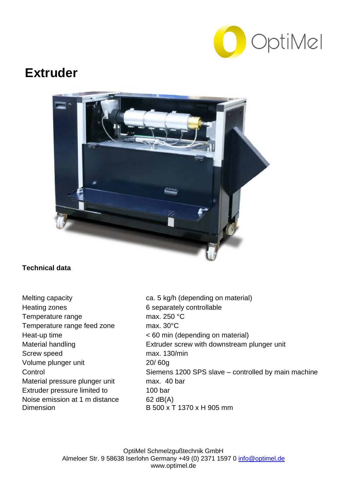

## **Extruder**



## **Technical data**

Heating zones 6 separately controllable Temperature range max. 250 °C Temperature range feed zone max. 30°C Screw speed max. 130/min Volume plunger unit 20/ 60g Material pressure plunger unit max. 40 bar Extruder pressure limited to 100 bar Noise emission at 1 m distance 62 dB(A) Dimension B 500 x T 1370 x H 905 mm

Melting capacity **ca. 5 kg/h (depending on material)** Heat-up time < 60 min (depending on material) Material handling **Extruder screw with downstream plunger unit** Control Siemens 1200 SPS slave – controlled by main machine